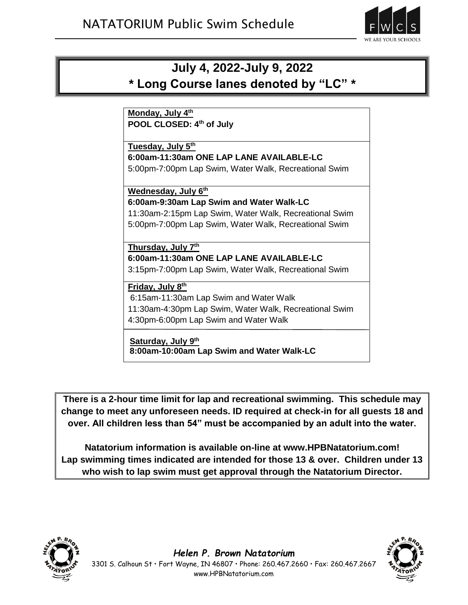

# **July 4, 2022-July 9, 2022 \* Long Course lanes denoted by "LC" \***

**Monday, July 4th POOL CLOSED: 4th of July**

**Tuesday, July 5th 6:00am-11:30am ONE LAP LANE AVAILABLE-LC** 5:00pm-7:00pm Lap Swim, Water Walk, Recreational Swim

**Wednesday, July 6th 6:00am-9:30am Lap Swim and Water Walk-LC**

11:30am-2:15pm Lap Swim, Water Walk, Recreational Swim 5:00pm-7:00pm Lap Swim, Water Walk, Recreational Swim

#### **Thursday, July 7th**

**6:00am-11:30am ONE LAP LANE AVAILABLE-LC**

3:15pm-7:00pm Lap Swim, Water Walk, Recreational Swim

### **Friday, July 8 th**

6:15am-11:30am Lap Swim and Water Walk 11:30am-4:30pm Lap Swim, Water Walk, Recreational Swim 4:30pm-6:00pm Lap Swim and Water Walk

#### **Saturday, July 9 th**

**8:00am-10:00am Lap Swim and Water Walk-LC**

**There is a 2-hour time limit for lap and recreational swimming. This schedule may change to meet any unforeseen needs. ID required at check-in for all guests 18 and over. All children less than 54" must be accompanied by an adult into the water.**

**Natatorium information is available on-line at www.HPBNatatorium.com! Lap swimming times indicated are intended for those 13 & over. Children under 13 who wish to lap swim must get approval through the Natatorium Director.**